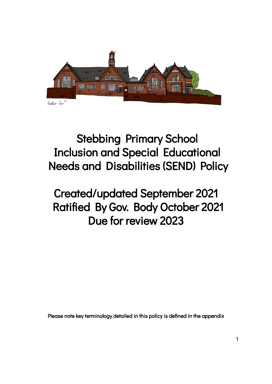

# Stebbing Primary School Inclusion and Special Educational Needs and Disabilities (SEND) Policy

# Created/updated September 2021 Ratified By Gov. Body October 2021 Due for review 2023

Please note key terminology detailed in this policy is defined in the appendix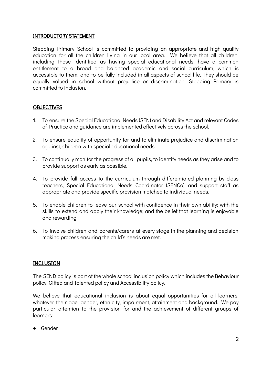## INTRODUCTORY STATEMENT

Stebbing Primary School is committed to providing an appropriate and high quality education for all the children living in our local area. We believe that all children, including those identified as having special educational needs, have a common entitlement to a broad and balanced academic and social curriculum, which is accessible to them, and to be fully included in all aspects of school life. They should be equally valued in school without prejudice or discrimination. Stebbing Primary is committed to inclusion.

## **OBJECTIVES**

- 1. To ensure the Special Educational Needs (SEN) and Disability Act and relevant Codes of Practice and guidance are implemented effectively across the school.
- 2. To ensure equality of opportunity for and to eliminate prejudice and discrimination against, children with special educational needs.
- 3. To continually monitor the progress of all pupils, to identify needs as they arise and to provide support as early as possible.
- 4. To provide full access to the curriculum through differentiated planning by class teachers, Special Educational Needs Coordinator (SENCo), and support staff as appropriate and provide specific provision matched to individual needs.
- 5. To enable children to leave our school with confidence in their own ability; with the skills to extend and apply their knowledge; and the belief that learning is enjoyable and rewarding.
- 6. To involve children and parents/carers at every stage in the planning and decision making process ensuring the child's needs are met.

## INCLUSION

The SEND policy is part of the whole school inclusion policy which includes the Behaviour policy, Gifted and Talented policy and Accessibility policy.

We believe that educational inclusion is about equal opportunities for all learners, whatever their age, gender, ethnicity, impairment, attainment and background. We pay particular attention to the provision for and the achievement of different groups of learners:

● Gender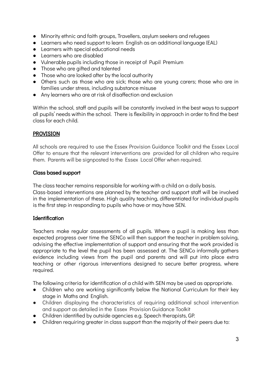- Minority ethnic and faith groups, Travellers, asylum seekers and refugees
- Learners who need support to learn English as an additional language (EAL)
- Learners with special educational needs
- Learners who are disabled
- Vulnerable pupils including those in receipt of Pupil Premium
- Those who are aifted and talented
- Those who are looked after by the local authority
- Others such as those who are sick; those who are young carers; those who are in families under stress, including substance misuse
- Any learners who are at risk of disaffection and exclusion

Within the school, staff and pupils will be constantly involved in the best ways to support all pupils' needs within the school. There is flexibility in approach in order to find the best class for each child.

## PROVISION

All schools are required to use the Essex Provision Guidance Toolkit and the Essex Local Offer to ensure that the relevant interventions are provided for all children who require them. Parents will be signposted to the Essex Local Offer when required.

## Class based support

The class teacher remains responsible for working with a child on a daily basis.

Class-based interventions are planned by the teacher and support staff will be involved in the implementation of these. High quality teaching, differentiated for individual pupils is the first step in responding to pupils who have or may have SEN.

## Identification

Teachers make regular assessments of all pupils. Where a pupil is making less than expected progress over time the SENCo will then support the teacher in problem solving, advising the effective implementation of support and ensuring that the work provided is appropriate to the level the pupil has been assessed at. The SENCo informally gathers evidence including views from the pupil and parents and will put into place extra teaching or other rigorous interventions designed to secure better progress, where required.

The following criteria for identification of a child with SEN may be used as appropriate.

- Children who are working significantly below the National Curriculum for their key stage in Maths and English.
- Children displaying the characteristics of requiring additional school intervention and support as detailed in the Essex Provision Guidance Toolkit
- Children identified by outside agencies e.g. Speech therapists, GP.
- Children requiring greater in class support than the majority of their peers due to: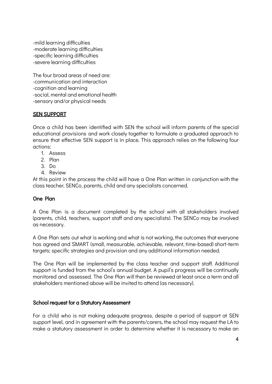-mild learning difficulties -moderate learning difficulties -specific learning difficulties -severe learning difficulties

The four broad areas of need are: -communication and interaction -cognition and learning -social, mental and emotional health -sensory and/or physical needs

## SEN SUPPORT

Once a child has been identified with SEN the school will inform parents of the special educational provisions and work closely together to formulate a graduated approach to ensure that effective SEN support is in place. This approach relies on the following four actions:

- 1. Assess
- 2. Plan
- 3. Do
- 4. Review

At this point in the process the child will have a One Plan written in conjunction with the class teacher, SENCo, parents, child and any specialists concerned.

## One Plan

A One Plan is a document completed by the school with all stakeholders involved (parents, child, teachers, support staff and any specialists). The SENCo may be involved as necessary.

A One Plan sets out what is working and what is not working, the outcomes that everyone has agreed and SMART (small, measurable, achievable, relevant, time-based) short-term targets; specific strategies and provision and any additional information needed.

The One Plan will be implemented by the class teacher and support staff. Additional support is funded from the school's annual budget. A pupil's progress will be continually monitored and assessed. The One Plan will then be reviewed at least once a term and all stakeholders mentioned above will be invited to attend (as necessary).

## School request for a Statutory Assessment

For a child who is not making adequate progress, despite a period of support at SEN support level, and in agreement with the parents/carers, the school may request the LA to make a statutory assessment in order to determine whether it is necessary to make an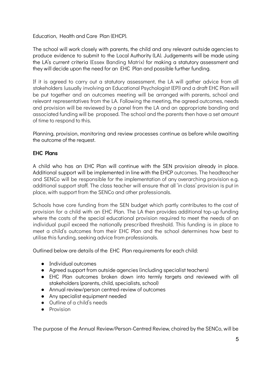Education, Health and Care Plan (EHCP).

The school will work closely with parents, the child and any relevant outside agencies to produce evidence to submit to the Local Authority (LA). Judgements will be made using the LA's current criteria (Essex Banding Matrix) for making a statutory assessment and they will decide upon the need for an EHC Plan and possible further funding.

If it is agreed to carry out a statutory assessment, the LA will gather advice from all stakeholders (usually involving an Educational Psychologist (EP)) and a draft EHC Plan will be put together and an outcomes meeting will be arranged with parents, school and relevant representatives from the LA. Following the meeting, the agreed outcomes, needs and provision will be reviewed by a panel from the LA and an appropriate banding and associated funding will be proposed. The school and the parents then have a set amount of time to respond to this.

Planning, provision, monitoring and review processes continue as before while awaiting the outcome of the request.

## EHC Plans

A child who has an EHC Plan will continue with the SEN provision already in place. Additional support will be implemented in line with the EHCP outcomes. The headteacher and SENCo will be responsible for the implementation of any overarching provision e.g. additional support staff. The class teacher will ensure that all 'in class' provision is put in place, with support from the SENCo and other professionals.

Schools have core funding from the SEN budget which partly contributes to the cost of provision for a child with an EHC Plan. The LA then provides additional top-up funding where the costs of the special educational provision required to meet the needs of an individual pupil exceed the nationally prescribed threshold. This funding is in place to meet a child's outcomes from their EHC Plan and the school determines how best to utilise this funding, seeking advice from professionals.

Outlined below are details of the EHC Plan requirements for each child:

- Individual outcomes
- Agreed support from outside agencies (including specialist teachers)
- EHC Plan outcomes broken down into termly targets and reviewed with all stakeholders (parents, child, specialists, school)
- Annual review/person centred-review of outcomes
- Any specialist equipment needed
- Outline of a child's needs
- Provision

The purpose of the Annual Review/Person-Centred Review, chaired by the SENCo, will be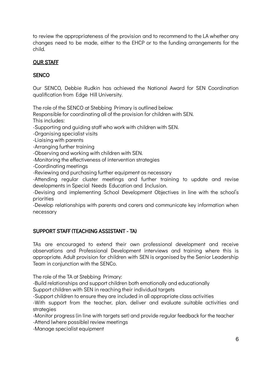to review the appropriateness of the provision and to recommend to the LA whether any changes need to be made, either to the EHCP or to the funding arrangements for the child.

# OUR STAFF

# **SENCO**

Our SENCO, Debbie Rudkin has achieved the National Award for SEN Coordination qualification from Edge Hill University.

The role of the SENCO at Stebbing Primary is outlined below:

Responsible for coordinating all of the provision for children with SEN. This includes:

-Supporting and guiding staff who work with children with SEN.

-Organising specialist visits

-Liaising with parents

-Arranging further training

-Observing and working with children with SEN.

-Monitoring the effectiveness of intervention strategies

-Coordinating meetings

-Reviewing and purchasing further equipment as necessary

-Attending regular cluster meetings and further training to update and revise developments in Special Needs Education and Inclusion.

-Devising and implementing School Development Objectives in line with the school's priorities

-Develop relationships with parents and carers and communicate key information when necessary

## SUPPORT STAFF (TEACHING ASSISTANT - TA)

TAs are encouraged to extend their own professional development and receive observations and Professional Development interviews and training where this is appropriate. Adult provision for children with SEN is organised by the Senior Leadership Team in conjunction with the SENCo.

The role of the TA at Stebbing Primary:

-Build relationships and support children both emotionally and educationally

Support children with SEN in reaching their individual targets

-Support children to ensure they are included in all appropriate class activities

-With support from the teacher, plan, deliver and evaluate suitable activities and strategies

-Monitor progress (in line with targets set) and provide regular feedback for the teacher

-Attend (where possible) review meetings

-Manage specialist equipment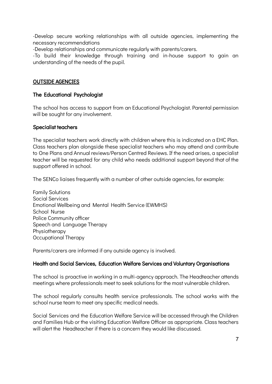-Develop secure working relationships with all outside agencies, implementing the necessary recommendations

-Develop relationships and communicate regularly with parents/carers.

-To build their knowledge through training and in-house support to gain an understanding of the needs of the pupil.

# OUTSIDE AGENCIES

## The Educational Psychologist

The school has access to support from an Educational Psychologist. Parental permission will be sought for any involvement.

## Specialist teachers

The specialist teachers work directly with children where this is indicated on a EHC Plan. Class teachers plan alongside these specialist teachers who may attend and contribute to One Plans and Annual reviews/Person Centred Reviews. If the need arises, a specialist teacher will be requested for any child who needs additional support beyond that of the support offered in school.

The SENCo liaises frequently with a number of other outside agencies, for example:

Family Solutions Social Services Emotional Wellbeing and Mental Health Service (EWMHS) School Nurse Police Community officer Speech and Language Therapy **Physiotherapy** Occupational Therapy

Parents/carers are informed if any outside agency is involved.

## Health and Social Services, Education Welfare Services and Voluntary Organisations

The school is proactive in working in a multi-agency approach. The Headteacher attends meetings where professionals meet to seek solutions for the most vulnerable children.

The school regularly consults health service professionals. The school works with the school nurse team to meet any specific medical needs.

Social Services and the Education Welfare Service will be accessed through the Children and Families Hub or the visiting Education Welfare Officer as appropriate. Class teachers will alert the Headteacher if there is a concern they would like discussed.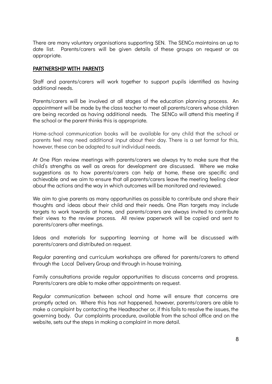There are many voluntary organisations supporting SEN. The SENCo maintains an up to date list. Parents/carers will be given details of these groups on request or as appropriate.

## PARTNERSHIP WITH PARENTS

Staff and parents/carers will work together to support pupils identified as having additional needs.

Parents/carers will be involved at all stages of the education planning process. An appointment will be made by the class teacher to meet all parents/carers whose children are being recorded as having additional needs. The SENCo will attend this meeting if the school or the parent thinks this is appropriate.

Home-school communication books will be available for any child that the school or parents feel may need additional input about their day. There is a set format for this, however, these can be adapted to suit individual needs.

At One Plan review meetings with parents/carers we always try to make sure that the child's strengths as well as areas for development are discussed. Where we make suggestions as to how parents/carers can help at home, these are specific and achievable and we aim to ensure that all parents/carers leave the meeting feeling clear about the actions and the way in which outcomes will be monitored and reviewed.

We aim to give parents as many opportunities as possible to contribute and share their thoughts and ideas about their child and their needs. One Plan targets may include targets to work towards at home, and parents/carers are always invited to contribute their views to the review process. All review paperwork will be copied and sent to parents/carers after meetings.

Ideas and materials for supporting learning at home will be discussed with parents/carers and distributed on request.

Regular parenting and curriculum workshops are offered for parents/carers to attend through the Local Delivery Group and through in-house training.

Family consultations provide regular opportunities to discuss concerns and progress. Parents/carers are able to make other appointments on request.

Regular communication between school and home will ensure that concerns are promptly acted on. Where this has not happened, however, parents/carers are able to make a complaint by contacting the Headteacher or, if this fails to resolve the issues, the governing body. Our complaints procedure, available from the school office and on the website, sets out the steps in making a complaint in more detail.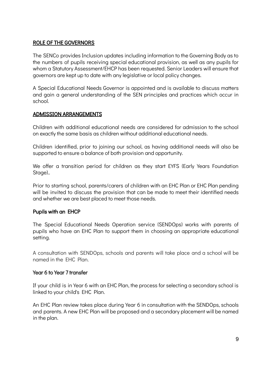## ROLE OF THE GOVERNORS

The SENCo provides Inclusion updates including information to the Governing Body as to the numbers of pupils receiving special educational provision, as well as any pupils for whom a Statutory Assessment/EHCP has been requested. Senior Leaders will ensure that governors are kept up to date with any legislative or local policy changes.

A Special Educational Needs Governor is appointed and is available to discuss matters and gain a general understanding of the SEN principles and practices which occur in school.

## ADMISSION ARRANGEMENTS

Children with additional educational needs are considered for admission to the school on exactly the same basis as children without additional educational needs.

Children identified, prior to joining our school, as having additional needs will also be supported to ensure a balance of both provision and opportunity.

We offer a transition period for children as they start EYFS (Early Years Foundation Stage)..

Prior to starting school, parents/carers of children with an EHC Plan or EHC Plan pending will be invited to discuss the provision that can be made to meet their identified needs and whether we are best placed to meet those needs.

## Pupils with an EHCP

The Special Educational Needs Operation service (SENDOps) works with parents of pupils who have an EHC Plan to support them in choosing an appropriate educational setting.

A consultation with SENDOps, schools and parents will take place and a school will be named in the EHC Plan.

## Year 6 to Year 7 transfer

If your child is in Year 6 with an EHC Plan, the process for selecting a secondary school is linked to your child's EHC Plan.

An EHC Plan review takes place during Year 6 in consultation with the SENDOps, schools and parents. A new EHC Plan will be proposed and a secondary placement will be named in the plan.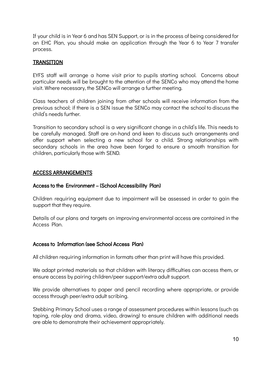If your child is in Year 6 and has SEN Support, or is in the process of being considered for an EHC Plan, you should make an application through the Year 6 to Year 7 transfer process.

## **TRANSITION**

EYFS staff will arrange a home visit prior to pupils starting school. Concerns about particular needs will be brought to the attention of the SENCo who may attend the home visit. Where necessary, the SENCo will arrange a further meeting.

Class teachers of children joining from other schools will receive information from the previous school; if there is a SEN issue the SENCo may contact the school to discuss the child's needs further.

Transition to secondary school is a very significant change in a child's life. This needs to be carefully managed. Staff are on-hand and keen to discuss such arrangements and offer support when selecting a new school for a child. Strong relationships with secondary schools in the area have been forged to ensure a smooth transition for children, particularly those with SEND.

## ACCESS ARRANGEMENTS

## Access to the Environment – (School Accessibility Plan)

Children requiring equipment due to impairment will be assessed in order to gain the support that they require.

Details of our plans and targets on improving environmental access are contained in the Access Plan.

## Access to Information (see School Access Plan)

All children requiring information in formats other than print will have this provided.

We adapt printed materials so that children with literacy difficulties can access them, or ensure access by pairing children/peer support/extra adult support.

We provide alternatives to paper and pencil recording where appropriate, or provide access through peer/extra adult scribing.

Stebbing Primary School uses a range of assessment procedures within lessons (such as taping, role-play and drama, video, drawing) to ensure children with additional needs are able to demonstrate their achievement appropriately.